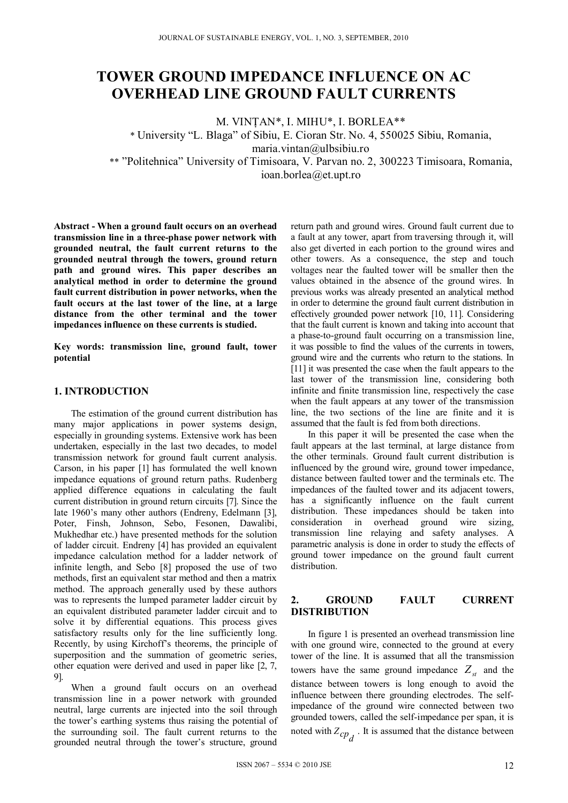# **TOWER GROUND IMPEDANCE INFLUENCE ON AC OVERHEAD LINE GROUND FAULT CURRENTS**

M. VINŢAN\*, I. MIHU\*, I. BORLEA\*\*

\* University "L. Blaga" of Sibiu, E. Cioran Str. No. 4, 550025 Sibiu, Romania, maria.vintan@ulbsibiu.ro

\*\* "Politehnica" University of Timisoara, V. Parvan no. 2, 300223 Timisoara, Romania, ioan.borlea@et.upt.ro

**Abstract - When a ground fault occurs on an overhead transmission line in a three-phase power network with grounded neutral, the fault current returns to the grounded neutral through the towers, ground return path and ground wires. This paper describes an analytical method in order to determine the ground fault current distribution in power networks, when the fault occurs at the last tower of the line, at a large distance from the other terminal and the tower impedances influence on these currents is studied.** 

**Key words: transmission line, ground fault, tower potential** 

## **1. INTRODUCTION**

The estimation of the ground current distribution has many major applications in power systems design, especially in grounding systems. Extensive work has been undertaken, especially in the last two decades, to model transmission network for ground fault current analysis. Carson, in his paper [1] has formulated the well known impedance equations of ground return paths. Rudenberg applied difference equations in calculating the fault current distribution in ground return circuits [7]. Since the late 1960's many other authors (Endreny, Edelmann [3], Poter, Finsh, Johnson, Sebo, Fesonen, Dawalibi, Mukhedhar etc.) have presented methods for the solution of ladder circuit. Endreny [4] has provided an equivalent impedance calculation method for a ladder network of infinite length, and Sebo [8] proposed the use of two methods, first an equivalent star method and then a matrix method. The approach generally used by these authors was to represents the lumped parameter ladder circuit by an equivalent distributed parameter ladder circuit and to solve it by differential equations. This process gives satisfactory results only for the line sufficiently long. Recently, by using Kirchoff's theorems, the principle of superposition and the summation of geometric series, other equation were derived and used in paper like [2, 7, 9].

When a ground fault occurs on an overhead transmission line in a power network with grounded neutral, large currents are injected into the soil through the tower's earthing systems thus raising the potential of the surrounding soil. The fault current returns to the grounded neutral through the tower's structure, ground

return path and ground wires. Ground fault current due to a fault at any tower, apart from traversing through it, will also get diverted in each portion to the ground wires and other towers. As a consequence, the step and touch voltages near the faulted tower will be smaller then the values obtained in the absence of the ground wires. In previous works was already presented an analytical method in order to determine the ground fault current distribution in effectively grounded power network [10, 11]. Considering that the fault current is known and taking into account that a phase-to-ground fault occurring on a transmission line, it was possible to find the values of the currents in towers, ground wire and the currents who return to the stations. In [11] it was presented the case when the fault appears to the last tower of the transmission line, considering both infinite and finite transmission line, respectively the case when the fault appears at any tower of the transmission line, the two sections of the line are finite and it is assumed that the fault is fed from both directions.

In this paper it will be presented the case when the fault appears at the last terminal, at large distance from the other terminals. Ground fault current distribution is influenced by the ground wire, ground tower impedance, distance between faulted tower and the terminals etc. The impedances of the faulted tower and its adjacent towers, has a significantly influence on the fault current distribution. These impedances should be taken into consideration in overhead ground wire sizing, transmission line relaying and safety analyses. A parametric analysis is done in order to study the effects of ground tower impedance on the ground fault current distribution.

## **2. GROUND FAULT CURRENT DISTRIBUTION**

In figure 1 is presented an overhead transmission line with one ground wire, connected to the ground at every tower of the line. It is assumed that all the transmission towers have the same ground impedance  $Z_{st}$  and the distance between towers is long enough to avoid the influence between there grounding electrodes. The selfimpedance of the ground wire connected between two grounded towers, called the self-impedance per span, it is noted with  $Z_{cp}$ . It is assumed that the distance between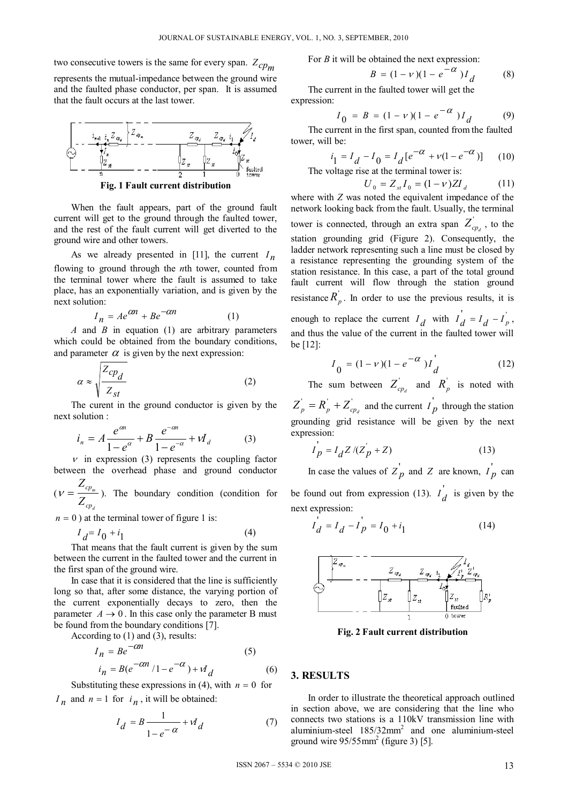two consecutive towers is the same for every span.  $Z_{cpm}$ 

represents the mutual-impedance between the ground wire and the faulted phase conductor, per span. It is assumed that the fault occurs at the last tower.



**Fig. 1 Fault current distribution**

When the fault appears, part of the ground fault current will get to the ground through the faulted tower, and the rest of the fault current will get diverted to the ground wire and other towers.

As we already presented in [11], the current  $I_n$ flowing to ground through the *n*th tower, counted from the terminal tower where the fault is assumed to take place, has an exponentially variation, and is given by the next solution:

$$
I_n = Ae^{\alpha n} + Be^{-\alpha n} \tag{1}
$$

*A* and *B* in equation (1) are arbitrary parameters which could be obtained from the boundary conditions, and parameter  $\alpha$  is given by the next expression:

$$
\alpha \approx \sqrt{\frac{Z_{cp_d}}{Z_{st}}} \tag{2}
$$

The curent in the ground conductor is given by the next solution :

$$
i_n = A \frac{e^{\alpha n}}{1 - e^{\alpha}} + B \frac{e^{-\alpha n}}{1 - e^{-\alpha}} + V I_d \tag{3}
$$

 $\nu$  in expression (3) represents the coupling factor between the overhead phase and ground conductor

( *d m cp cp Z Z*  $V = \frac{C p_m}{Z}$ ). The boundary condition (condition for

 $n = 0$ ) at the terminal tower of figure 1 is:

$$
I_d = I_0 + i_1 \tag{4}
$$

That means that the fault current is given by the sum between the current in the faulted tower and the current in the first span of the ground wire.

In case that it is considered that the line is sufficiently long so that, after some distance, the varying portion of the current exponentially decays to zero, then the parameter  $A \rightarrow 0$ . In this case only the parameter B must be found from the boundary conditions [7].

According to (1) and (3), results:

$$
I_n = Be^{-\alpha n}
$$
\n
$$
i_n = Be^{-\alpha n}/1 - e^{-\alpha} + V_d
$$
\n(5)\n(6)

Substituting these expressions in (4), with  $n = 0$  for  $I_n$  and  $n = 1$  for  $i_n$ , it will be obtained:

$$
I_d = B \frac{1}{1 - e^{-\alpha}} + V_d \tag{7}
$$

For *B* it will be obtained the next expression:

$$
B = (1 - v)(1 - e^{-\alpha})I_d
$$
 (8)

The current in the faulted tower will get the expression:

$$
I_0 = B = (1 - v)(1 - e^{-\alpha})I_d \tag{9}
$$

The current in the first span, counted from the faulted tower, will be:

$$
i_1 = I_d - I_0 = I_d [e^{-\alpha} + v(1 - e^{-\alpha})]
$$
 (10)

The voltage rise at the terminal tower is:

$$
U_0 = Z_{st} I_0 = (1 - v) Z I_d \tag{11}
$$

where with *Z* was noted the equivalent impedance of the network looking back from the fault. Usually, the terminal tower is connected, through an extra span  $Z_{cp_d}$ , to the station grounding grid (Figure 2). Consequently, the ladder network representing such a line must be closed by a resistance representing the grounding system of the station resistance. In this case, a part of the total ground fault current will flow through the station ground resistance  $R_p^{\prime}$ . In order to use the previous results, it is enough to replace the current  $I_d$  with  $I_d = I_d - I_p$ , and thus the value of the current in the faulted tower will

$$
I_0 = (1 - \nu)(1 - e^{-\alpha})I_d
$$
 (12)

The sum between  $Z_{cp_d}$  and  $R_p$  is noted with  $Z_p = R_p + Z_{cp_d}$  and the current  $I_p$  through the station grounding grid resistance will be given by the next expression:

$$
I'_{p} = I_{d} Z / (Z'_{p} + Z)
$$
 (13)

In case the values of  $Z'_p$  and  $Z$  are known,  $I'_p$  can be found out from expression (13).  $I_d$  is given by the next expression:

$$
I_{d}^{'} = I_{d} - I_{p}^{'} = I_{0} + i_{1}
$$
 (14)



**Fig. 2 Fault current distribution**

# **3. RESULTS**

be [12]:

In order to illustrate the theoretical approach outlined in section above, we are considering that the line who connects two stations is a 110kV transmission line with aluminium-steel 185/32mm<sup>2</sup> and one aluminium-steel ground wire  $95/55$ mm<sup>2</sup> (figure 3) [5].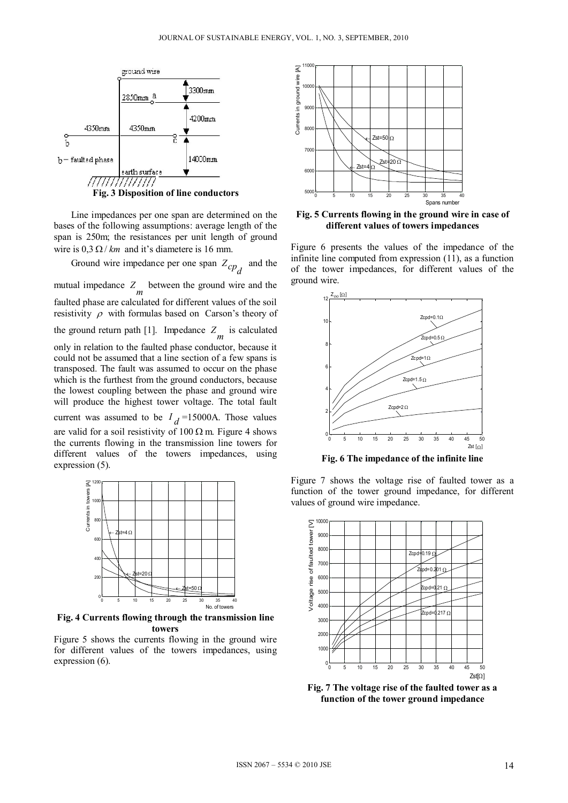

Line impedances per one span are determined on the bases of the following assumptions: average length of the span is 250m; the resistances per unit length of ground wire is  $0.3 \Omega / km$  and it's diametere is 16 mm.

Ground wire impedance per one span  $Z_{cp<sub>d</sub>}$  and the mutual impedance  $Z_m$  between the ground wire and the faulted phase are calculated for different values of the soil resistivity  $\rho$  with formulas based on Carson's theory of the ground return path [1]. Impedance  $Z_m$  is calculated only in relation to the faulted phase conductor, because it could not be assumed that a line section of a few spans is transposed. The fault was assumed to occur on the phase which is the furthest from the ground conductors, because the lowest coupling between the phase and ground wire will produce the highest tower voltage. The total fault current was assumed to be  $I_d$ =15000A. Those values are valid for a soil resistivity of  $100 \Omega$  m. Figure 4 shows the currents flowing in the transmission line towers for different values of the towers impedances, using expression (5).



**Fig. 4 Currents flowing through the transmission line towers** 

Figure 5 shows the currents flowing in the ground wire for different values of the towers impedances, using expression (6).



**Fig. 5 Currents flowing in the ground wire in case of different values of towers impedances** 

Figure 6 presents the values of the impedance of the infinite line computed from expression (11), as a function of the tower impedances, for different values of the ground wire.



**Fig. 6 The impedance of the infinite line** 

Figure 7 shows the voltage rise of faulted tower as a function of the tower ground impedance, for different values of ground wire impedance.



**Fig. 7 The voltage rise of the faulted tower as a function of the tower ground impedance**